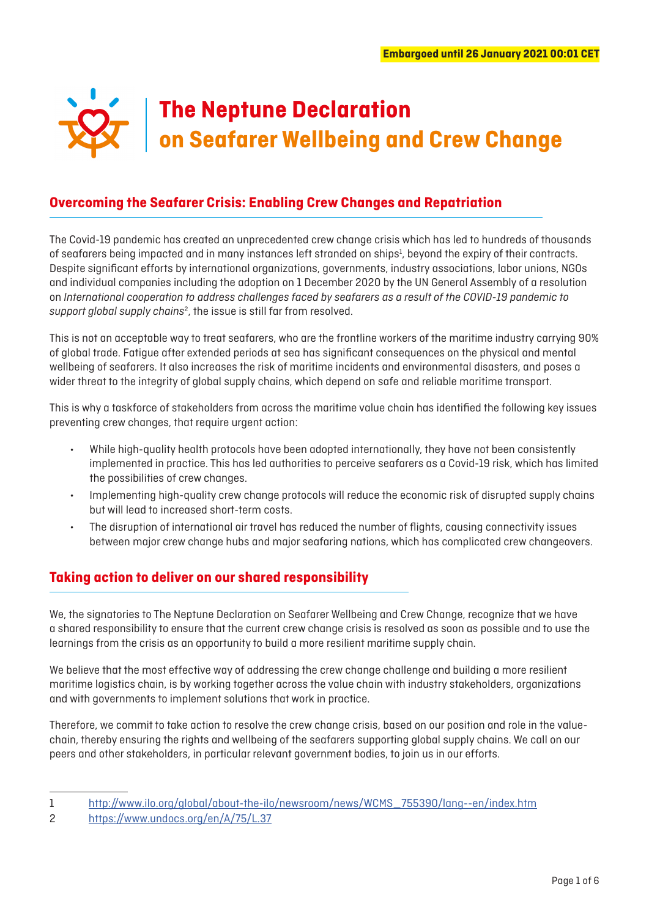

# **Overcoming the Seafarer Crisis: Enabling Crew Changes and Repatriation**

The Covid-19 pandemic has created an unprecedented crew change crisis which has led to hundreds of thousands of seafarers being impacted and in many instances left stranded on ships<sup>1</sup>, beyond the expiry of their contracts. Despite significant efforts by international organizations, governments, industry associations, labor unions, NGOs and individual companies including the adoption on 1 December 2020 by the UN General Assembly of a resolution on *International cooperation to address challenges faced by seafarers as a result of the COVID-19 pandemic to*  support global supply chains<sup>2</sup>, the issue is still far from resolved.

This is not an acceptable way to treat seafarers, who are the frontline workers of the maritime industry carrying 90% of global trade. Fatigue after extended periods at sea has significant consequences on the physical and mental wellbeing of seafarers. It also increases the risk of maritime incidents and environmental disasters, and poses a wider threat to the integrity of global supply chains, which depend on safe and reliable maritime transport.

This is why a taskforce of stakeholders from across the maritime value chain has identified the following key issues preventing crew changes, that require urgent action:

- While high-quality health protocols have been adopted internationally, they have not been consistently implemented in practice. This has led authorities to perceive seafarers as a Covid-19 risk, which has limited the possibilities of crew changes.
- Implementing high-quality crew change protocols will reduce the economic risk of disrupted supply chains but will lead to increased short-term costs.
- The disruption of international air travel has reduced the number of flights, causing connectivity issues between major crew change hubs and major seafaring nations, which has complicated crew changeovers.

# **Taking action to deliver on our shared responsibility**

We, the signatories to The Neptune Declaration on Seafarer Wellbeing and Crew Change, recognize that we have a shared responsibility to ensure that the current crew change crisis is resolved as soon as possible and to use the learnings from the crisis as an opportunity to build a more resilient maritime supply chain.

We believe that the most effective way of addressing the crew change challenge and building a more resilient maritime logistics chain, is by working together across the value chain with industry stakeholders, organizations and with governments to implement solutions that work in practice.

Therefore, we commit to take action to resolve the crew change crisis, based on our position and role in the valuechain, thereby ensuring the rights and wellbeing of the seafarers supporting global supply chains. We call on our peers and other stakeholders, in particular relevant government bodies, to join us in our efforts.

<sup>1</sup> [http://www.ilo.org/global/about-the-ilo/newsroom/news/WCMS\\_755390/lang--en/index.htm](http://www.ilo.org/global/about-the-ilo/newsroom/news/WCMS_755390/lang--en/index.htm)

<sup>2</sup> <https://www.undocs.org/en/A/75/L.37>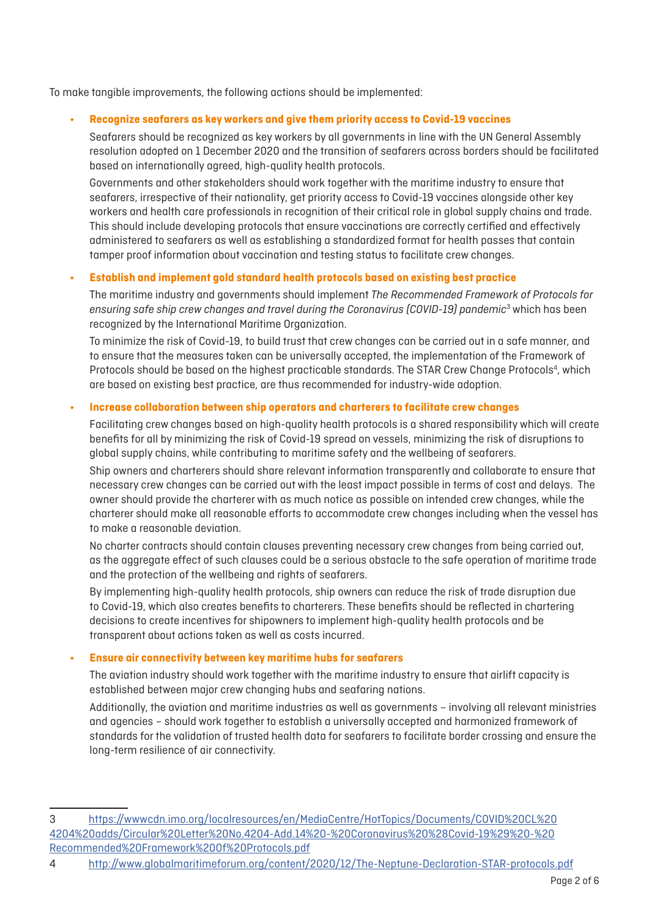To make tangible improvements, the following actions should be implemented:

### **• Recognize seafarers as key workers and give them priority access to Covid-19 vaccines**

Seafarers should be recognized as key workers by all governments in line with the UN General Assembly resolution adopted on 1 December 2020 and the transition of seafarers across borders should be facilitated based on internationally agreed, high-quality health protocols.

Governments and other stakeholders should work together with the maritime industry to ensure that seafarers, irrespective of their nationality, get priority access to Covid-19 vaccines alongside other key workers and health care professionals in recognition of their critical role in global supply chains and trade. This should include developing protocols that ensure vaccinations are correctly certified and effectively administered to seafarers as well as establishing a standardized format for health passes that contain tamper proof information about vaccination and testing status to facilitate crew changes.

#### **• Establish and implement gold standard health protocols based on existing best practice**

The maritime industry and governments should implement *The Recommended Framework of Protocols for ensuring safe ship crew changes and travel during the Coronavirus (COVID-19) pandemic*<sup>3</sup> which has been recognized by the International Maritime Organization.

To minimize the risk of Covid-19, to build trust that crew changes can be carried out in a safe manner, and to ensure that the measures taken can be universally accepted, the implementation of the Framework of Protocols should be based on the highest practicable standards. The STAR Crew Change Protocols<sup>4</sup>, which are based on existing best practice, are thus recommended for industry-wide adoption.

#### **• Increase collaboration between ship operators and charterers to facilitate crew changes**

Facilitating crew changes based on high-quality health protocols is a shared responsibility which will create benefits for all by minimizing the risk of Covid-19 spread on vessels, minimizing the risk of disruptions to global supply chains, while contributing to maritime safety and the wellbeing of seafarers.

Ship owners and charterers should share relevant information transparently and collaborate to ensure that necessary crew changes can be carried out with the least impact possible in terms of cost and delays. The owner should provide the charterer with as much notice as possible on intended crew changes, while the charterer should make all reasonable efforts to accommodate crew changes including when the vessel has to make a reasonable deviation.

No charter contracts should contain clauses preventing necessary crew changes from being carried out, as the aggregate effect of such clauses could be a serious obstacle to the safe operation of maritime trade and the protection of the wellbeing and rights of seafarers.

By implementing high-quality health protocols, ship owners can reduce the risk of trade disruption due to Covid-19, which also creates benefits to charterers. These benefits should be reflected in chartering decisions to create incentives for shipowners to implement high-quality health protocols and be transparent about actions taken as well as costs incurred.

### **• Ensure air connectivity between key maritime hubs for seafarers**

The aviation industry should work together with the maritime industry to ensure that airlift capacity is established between major crew changing hubs and seafaring nations.

Additionally, the aviation and maritime industries as well as governments – involving all relevant ministries and agencies – should work together to establish a universally accepted and harmonized framework of standards for the validation of trusted health data for seafarers to facilitate border crossing and ensure the long-term resilience of air connectivity.

<sup>3</sup> [https://wwwcdn.imo.org/localresources/en/MediaCentre/HotTopics/Documents/COVID%20CL%20](https://wwwcdn.imo.org/localresources/en/MediaCentre/HotTopics/Documents/COVID%20CL%204204%20adds/Circular%20Letter%20No.4204-Add.14%20-%20Coronavirus%20%28Covid-19%29%20-%20Recommended%20Framework%20Of%20Protocols.pdf) [4204%20adds/Circular%20Letter%20No.4204-Add.14%20-%20Coronavirus%20%28Covid-19%29%20-%20](https://wwwcdn.imo.org/localresources/en/MediaCentre/HotTopics/Documents/COVID%20CL%204204%20adds/Circular%20Letter%20No.4204-Add.14%20-%20Coronavirus%20%28Covid-19%29%20-%20Recommended%20Framework%20Of%20Protocols.pdf) [Recommended%20Framework%20Of%20Protocols.pdf](https://wwwcdn.imo.org/localresources/en/MediaCentre/HotTopics/Documents/COVID%20CL%204204%20adds/Circular%20Letter%20No.4204-Add.14%20-%20Coronavirus%20%28Covid-19%29%20-%20Recommended%20Framework%20Of%20Protocols.pdf)

<sup>4</sup> <http://www.globalmaritimeforum.org/content/2020/12/The-Neptune-Declaration-STAR-protocols.pdf>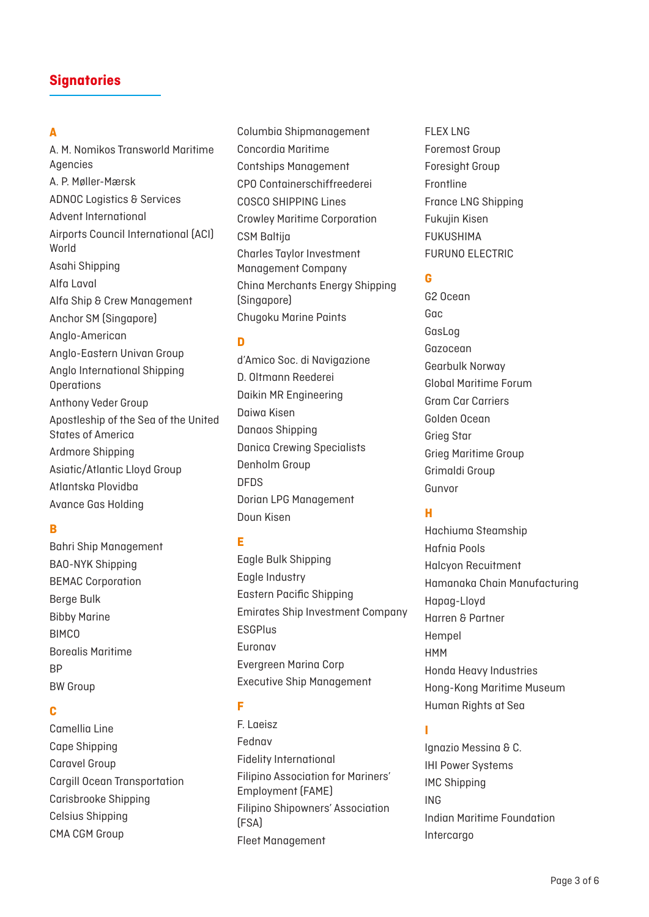### **A**

A. M. Nomikos Transworld Maritime Agencies A. P. Møller-Mærsk ADNOC Logistics & Services Advent International Airports Council International (ACI) World Asahi Shipping Alfa Laval Alfa Ship & Crew Management Anchor SM (Singapore) Anglo-American Anglo-Eastern Univan Group Anglo International Shipping **Operations** Anthony Veder Group Apostleship of the Sea of the United States of America Ardmore Shipping Asiatic/Atlantic Lloyd Group Atlantska Plovidba Avance Gas Holding

### **B**

Bahri Ship Management BAO-NYK Shipping BEMAC Corporation Berge Bulk Bibby Marine **BIMCO** Borealis Maritime BP BW Group

### **C**

Camellia Line Cape Shipping Caravel Group Cargill Ocean Transportation Carisbrooke Shipping Celsius Shipping CMA CGM Group

Columbia Shipmanagement Concordia Maritime Contships Management CPO Containerschiffreederei COSCO SHIPPING Lines Crowley Maritime Corporation CSM Baltija Charles Taylor Investment Management Company China Merchants Energy Shipping (Singapore) Chugoku Marine Paints

### **D**

d'Amico Soc. di Navigazione D. Oltmann Reederei Daikin MR Engineering Daiwa Kisen Danaos Shipping Danica Crewing Specialists Denholm Group DFDS Dorian LPG Management Doun Kisen

### **E**

Eagle Bulk Shipping Eagle Industry Eastern Pacific Shipping Emirates Ship Investment Company **ESGPlus** Euronav Evergreen Marina Corp Executive Ship Management

# **F**

F. Laeisz Fednav Fidelity International Filipino Association for Mariners' Employment (FAME) Filipino Shipowners' Association (FSA) Fleet Management

FLEX LNG Foremost Group Foresight Group Frontline France LNG Shipping Fukujin Kisen FUKUSHIMA FURUNO ELECTRIC

### **G**

G2 Ocean Gac GasLog Gazocean Gearbulk Norway Global Maritime Forum Gram Car Carriers Golden Ocean Grieg Star Grieg Maritime Group Grimaldi Group Gunvor

# **H**

Hachiuma Steamship Hafnia Pools Halcyon Recuitment Hamanaka Chain Manufacturing Hapag-Lloyd Harren & Partner Hempel HMM Honda Heavy Industries Hong-Kong Maritime Museum Human Rights at Sea

# **I**

Ignazio Messina & C. IHI Power Systems IMC Shipping ING Indian Maritime Foundation Intercargo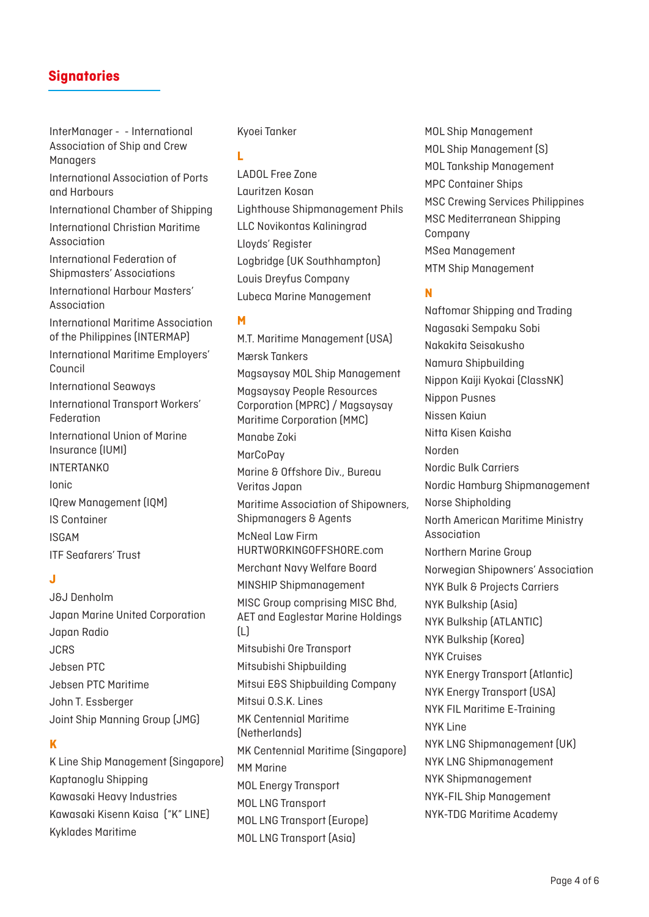InterManager - - International Association of Ship and Crew Managers International Association of Ports and Harbours International Chamber of Shipping International Christian Maritime Association International Federation of Shipmasters' Associations International Harbour Masters' Association International Maritime Association of the Philippines (INTERMAP) International Maritime Employers' Council International Seaways International Transport Workers' Federation International Union of Marine Insurance (IUMI) **INTERTANKO** Ionic IQrew Management (IQM) IS Container ISGAM ITF Seafarers' Trust

### **J**

J&J Denholm Japan Marine United Corporation Japan Radio JCRS Jebsen PTC Jebsen PTC Maritime John T. Essberger Joint Ship Manning Group (JMG)

### **K**

K Line Ship Management (Singapore) Kaptanoglu Shipping Kawasaki Heavy Industries Kawasaki Kisenn Kaisa ("K" LINE) Kyklades Maritime

#### Kyoei Tanker

#### **L**

LADOL Free Zone Lauritzen Kosan Lighthouse Shipmanagement Phils LLC Novikontas Kaliningrad Lloyds' Register Logbridge (UK Southhampton) Louis Dreyfus Company Lubeca Marine Management

#### **M**

M.T. Maritime Management (USA) Mærsk Tankers Magsaysay MOL Ship Management Magsaysay People Resources Corporation (MPRC) / Magsaysay Maritime Corporation (MMC) Manabe Zoki **MarCoPav** Marine & Offshore Div., Bureau Veritas Japan Maritime Association of Shipowners, Shipmanagers & Agents McNeal Law Firm HURTWORKINGOFFSHORE.com Merchant Navy Welfare Board MINSHIP Shipmanagement MISC Group comprising MISC Bhd, AET and Eaglestar Marine Holdings (L) Mitsubishi Ore Transport Mitsubishi Shipbuilding Mitsui E&S Shipbuilding Company Mitsui O.S.K. Lines MK Centennial Maritime (Netherlands) MK Centennial Maritime (Singapore) MM Marine MOL Energy Transport MOL LNG Transport MOL LNG Transport (Europe) MOL LNG Transport (Asia)

MOL Ship Management MOL Ship Management (S) MOL Tankship Management MPC Container Ships MSC Crewing Services Philippines MSC Mediterranean Shipping Company MSea Management MTM Ship Management

### **N**

Naftomar Shipping and Trading Nagasaki Sempaku Sobi Nakakita Seisakusho Namura Shipbuilding Nippon Kaiji Kyokai (ClassNK) Nippon Pusnes Nissen Kaiun Nitta Kisen Kaisha Norden Nordic Bulk Carriers Nordic Hamburg Shipmanagement Norse Shipholding North American Maritime Ministry Association Northern Marine Group Norwegian Shipowners' Association NYK Bulk & Projects Carriers NYK Bulkship (Asia) NYK Bulkship (ATLANTIC) NYK Bulkship (Korea) NYK Cruises NYK Energy Transport (Atlantic) NYK Energy Transport (USA) NYK FIL Maritime E-Training NYK Line NYK LNG Shipmanagement (UK) NYK LNG Shipmanagement NYK Shipmanagement NYK-FIL Ship Management NYK-TDG Maritime Academy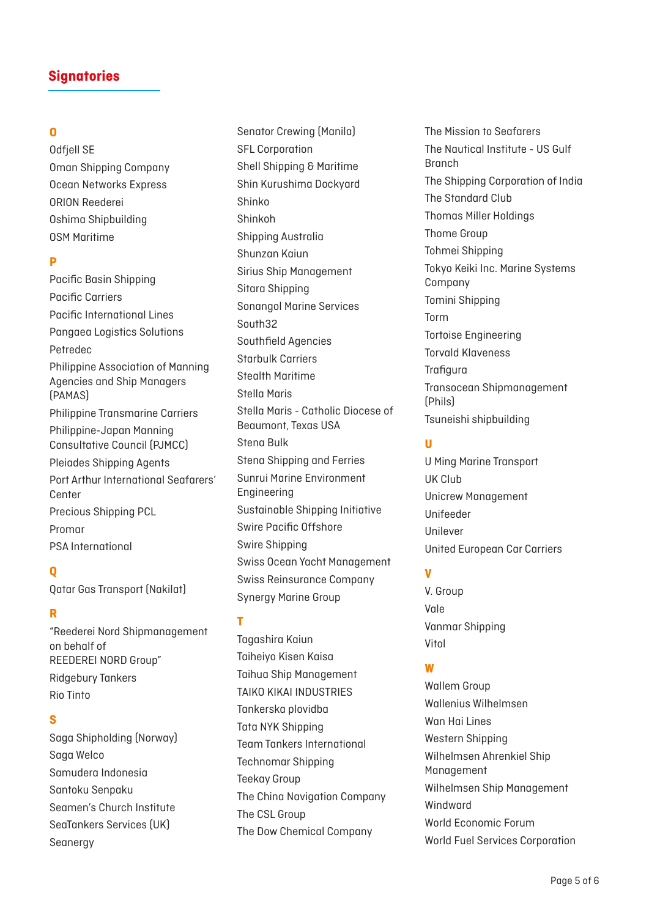# **O**

Odfiell SE Oman Shipping Company Ocean Networks Express ORION Reederei Oshima Shipbuilding OSM Maritime

# **P**

Pacific Basin Shipping Pacific Carriers Pacific International Lines Pangaea Logistics Solutions Petredec Philippine Association of Manning Agencies and Ship Managers (PAMAS) Philippine Transmarine Carriers Philippine-Japan Manning Consultative Council (PJMCC) Pleiades Shipping Agents Port Arthur International Seafarers' Center Precious Shipping PCL Promar PSA International

### **Q**

Qatar Gas Transport (Nakilat)

# **R**

"Reederei Nord Shipmanagement on behalf of REEDEREI NORD Group" Ridgebury Tankers Rio Tinto

#### **S**

Saga Shipholding (Norway) Saga Welco Samudera Indonesia Santoku Senpaku Seamen's Church Institute SeaTankers Services (UK) Seanergy

Senator Crewing (Manila) SFL Corporation Shell Shipping & Maritime Shin Kurushima Dockyard Shinko Shinkoh Shipping Australia Shunzan Kaiun Sirius Ship Management Sitara Shipping Sonangol Marine Services South32 Southfield Agencies Starbulk Carriers Stealth Maritime Stella Maris Stella Maris - Catholic Diocese of Beaumont, Texas USA Stena Bulk Stena Shipping and Ferries Sunrui Marine Environment Engineering Sustainable Shipping Initiative Swire Pacific Offshore Swire Shipping Swiss Ocean Yacht Management Swiss Reinsurance Company Synergy Marine Group

### **T**

Tagashira Kaiun Taiheiyo Kisen Kaisa Taihua Ship Management TAIKO KIKAI INDUSTRIES Tankerska plovidba Tata NYK Shipping Team Tankers International Technomar Shipping Teekay Group The China Navigation Company The CSL Group The Dow Chemical Company

The Mission to Seafarers The Nautical Institute - US Gulf Branch The Shipping Corporation of India The Standard Club Thomas Miller Holdings Thome Group Tohmei Shipping Tokyo Keiki Inc. Marine Systems Company Tomini Shipping Torm Tortoise Engineering Torvald Klaveness **Trafigura** Transocean Shipmanagement (Phils) Tsuneishi shipbuilding

### **U**

U Ming Marine Transport UK Club Unicrew Management Unifeeder Unilever United European Car Carriers

# **V**

V. Group Vale Vanmar Shipping Vitol

### **W**

Wallem Group Wallenius Wilhelmsen Wan Hai Lines Western Shipping Wilhelmsen Ahrenkiel Ship Management Wilhelmsen Ship Management Windward World Economic Forum World Fuel Services Corporation